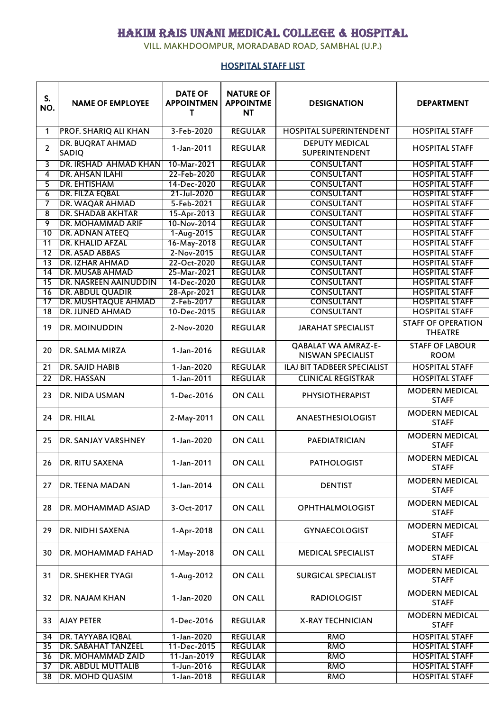## HAKIM RAIS UNANI MEDICAL COLLEGE & HOSPITAL

VILL. MAKHDOOMPUR, MORADABAD ROAD, SAMBHAL (U.P.)

## HOSPITAL STAFF LIST

| S.<br>NO.       | <b>NAME OF EMPLOYEE</b>          | <b>DATE OF</b><br><b>APPOINTMEN</b><br>т | <b>NATURE OF</b><br><b>APPOINTME</b><br>NT | <b>DESIGNATION</b>                                     | <b>DEPARTMENT</b>                           |
|-----------------|----------------------------------|------------------------------------------|--------------------------------------------|--------------------------------------------------------|---------------------------------------------|
| 1               | PROF. SHARIQ ALI KHAN            | 3-Feb-2020                               | <b>REGULAR</b>                             | <b>HOSPITAL SUPERINTENDENT</b>                         | <b>HOSPITAL STAFF</b>                       |
| $\overline{2}$  | <b>DR. BUQRAT AHMAD</b><br>SADIQ | 1-Jan-2011                               | <b>REGULAR</b>                             | <b>DEPUTY MEDICAL</b><br>SUPERINTENDENT                | <b>HOSPITAL STAFF</b>                       |
| 3               | DR. IRSHAD AHMAD KHAN            | 10-Mar-2021                              | <b>REGULAR</b>                             | <b>CONSULTANT</b>                                      | <b>HOSPITAL STAFF</b>                       |
| 4               | <b>DR. AHSAN ILAHI</b>           | 22-Feb-2020                              | <b>REGULAR</b>                             | <b>CONSULTANT</b>                                      | <b>HOSPITAL STAFF</b>                       |
| 5               | <b>DR. EHTISHAM</b>              | 14-Dec-2020                              | <b>REGULAR</b>                             | <b>CONSULTANT</b>                                      | <b>HOSPITAL STAFF</b>                       |
| 6               | <b>DR. FILZA EQBAL</b>           | 21-Jul-2020                              | <b>REGULAR</b>                             | <b>CONSULTANT</b>                                      | <b>HOSPITAL STAFF</b>                       |
| 7               | <b>DR. WAQAR AHMAD</b>           | 5-Feb-2021                               | <b>REGULAR</b>                             | <b>CONSULTANT</b>                                      | <b>HOSPITAL STAFF</b>                       |
| 8               | <b>DR. SHADAB AKHTAR</b>         | 15-Apr-2013                              | <b>REGULAR</b>                             | <b>CONSULTANT</b>                                      | <b>HOSPITAL STAFF</b>                       |
| 9               | <b>DR. MOHAMMAD ARIF</b>         | 10-Nov-2014                              | <b>REGULAR</b>                             | <b>CONSULTANT</b>                                      | <b>HOSPITAL STAFF</b>                       |
| 10              | DR. ADNAN ATEEQ                  | 1-Aug-2015                               | <b>REGULAR</b>                             | <b>CONSULTANT</b>                                      | <b>HOSPITAL STAFF</b>                       |
| $\overline{11}$ | <b>DR. KHALID AFZAL</b>          | 16-May-2018                              | <b>REGULAR</b>                             | <b>CONSULTANT</b>                                      | <b>HOSPITAL STAFF</b>                       |
| 12              | <b>DR. ASAD ABBAS</b>            | 2-Nov-2015                               | <b>REGULAR</b>                             | <b>CONSULTANT</b>                                      | <b>HOSPITAL STAFF</b>                       |
| $\overline{13}$ | <b>DR. IZHAR AHMAD</b>           | 22-Oct-2020                              | <b>REGULAR</b>                             | <b>CONSULTANT</b>                                      | <b>HOSPITAL STAFF</b>                       |
| $\overline{14}$ | <b>DR. MUSAB AHMAD</b>           | 25-Mar-2021                              | <b>REGULAR</b>                             | <b>CONSULTANT</b>                                      | <b>HOSPITAL STAFF</b>                       |
| $\overline{15}$ | DR. NASREEN AAINUDDIN            | 14-Dec-2020                              | <b>REGULAR</b>                             | <b>CONSULTANT</b>                                      | <b>HOSPITAL STAFF</b>                       |
| 16              | <b>DR. ABDUL QUADIR</b>          | 28-Apr-2021                              | <b>REGULAR</b>                             | <b>CONSULTANT</b>                                      | <b>HOSPITAL STAFF</b>                       |
| 17              | <b>DR. MUSHTAQUE AHMAD</b>       | 2-Feb-2017                               | <b>REGULAR</b>                             | <b>CONSULTANT</b>                                      | <b>HOSPITAL STAFF</b>                       |
| $\overline{18}$ | <b>DR. JUNED AHMAD</b>           | 10-Dec-2015                              | <b>REGULAR</b>                             | <b>CONSULTANT</b>                                      | <b>HOSPITAL STAFF</b>                       |
| 19              | <b>DR. MOINUDDIN</b>             | 2-Nov-2020                               | <b>REGULAR</b>                             | <b>JARAHAT SPECIALIST</b>                              | <b>STAFF OF OPERATION</b><br><b>THEATRE</b> |
| 20              | DR. SALMA MIRZA                  | 1-Jan-2016                               | <b>REGULAR</b>                             | <b>QABALAT WA AMRAZ-E-</b><br><b>NISWAN SPECIALIST</b> | <b>STAFF OF LABOUR</b><br><b>ROOM</b>       |
| 21              | <b>DR. SAJID HABIB</b>           | 1-Jan-2020                               | <b>REGULAR</b>                             | <b>ILAJ BIT TADBEER SPECIALIST</b>                     | <b>HOSPITAL STAFF</b>                       |
| $\overline{22}$ | <b>DR. HASSAN</b>                | 1-Jan-2011                               | <b>REGULAR</b>                             | <b>CLINICAL REGISTRAR</b>                              | <b>HOSPITAL STAFF</b>                       |
| 23              | <b>DR. NIDA USMAN</b>            | 1-Dec-2016                               | <b>ON CALL</b>                             | PHYSIOTHERAPIST                                        | <b>MODERN MEDICAL</b><br><b>STAFF</b>       |
| 24              | DR. HILAL                        | 2-May-2011                               | <b>ON CALL</b>                             | ANAESTHESIOLOGIST                                      | <b>MODERN MEDICAL</b><br><b>STAFF</b>       |
| 25              | DR. SANJAY VARSHNEY              | 1-Jan-2020                               | <b>ON CALL</b>                             | PAEDIATRICIAN                                          | <b>MODERN MEDICAL</b><br><b>STAFF</b>       |
| 26              | <b>DR. RITU SAXENA</b>           | 1-Jan-2011                               | <b>ON CALL</b>                             | <b>PATHOLOGIST</b>                                     | <b>MODERN MEDICAL</b><br><b>STAFF</b>       |
| 27              | <b>DR. TEENA MADAN</b>           | 1-Jan-2014                               | <b>ON CALL</b>                             | <b>DENTIST</b>                                         | <b>MODERN MEDICAL</b><br><b>STAFF</b>       |
| 28              | DR. MOHAMMAD ASJAD               | 3-Oct-2017                               | <b>ON CALL</b>                             | <b>OPHTHALMOLOGIST</b>                                 | <b>MODERN MEDICAL</b><br><b>STAFF</b>       |
| 29              | DR. NIDHI SAXENA                 | 1-Apr-2018                               | <b>ON CALL</b>                             | <b>GYNAECOLOGIST</b>                                   | <b>MODERN MEDICAL</b><br><b>STAFF</b>       |
| 30              | DR. MOHAMMAD FAHAD               | 1-May-2018                               | <b>ON CALL</b>                             | <b>MEDICAL SPECIALIST</b>                              | <b>MODERN MEDICAL</b><br><b>STAFF</b>       |
| 31              | <b>DR. SHEKHER TYAGI</b>         | 1-Aug-2012                               | <b>ON CALL</b>                             | <b>SURGICAL SPECIALIST</b>                             | <b>MODERN MEDICAL</b><br><b>STAFF</b>       |
| 32              | DR. NAJAM KHAN                   | 1-Jan-2020                               | <b>ON CALL</b>                             | <b>RADIOLOGIST</b>                                     | <b>MODERN MEDICAL</b><br><b>STAFF</b>       |
| 33              | <b>AJAY PETER</b>                | 1-Dec-2016                               | <b>REGULAR</b>                             | <b>X-RAY TECHNICIAN</b>                                | <b>MODERN MEDICAL</b><br><b>STAFF</b>       |
| 34              | <b>DR. TAYYABA IQBAL</b>         | 1-Jan-2020                               | <b>REGULAR</b>                             | <b>RMO</b>                                             | <b>HOSPITAL STAFF</b>                       |
| 35              | <b>DR. SABAHAT TANZEEL</b>       | 11-Dec-2015                              | <b>REGULAR</b>                             | <b>RMO</b>                                             | <b>HOSPITAL STAFF</b>                       |
| 36              | <b>DR. MOHAMMAD ZAID</b>         | 11-Jan-2019                              | <b>REGULAR</b>                             | <b>RMO</b>                                             | <b>HOSPITAL STAFF</b>                       |
| $\overline{37}$ | <b>DR. ABDUL MUTTALIB</b>        | 1-Jun-2016                               | <b>REGULAR</b>                             | <b>RMO</b>                                             | <b>HOSPITAL STAFF</b>                       |
| 38              | DR. MOHD QUASIM                  | 1-Jan-2018                               | <b>REGULAR</b>                             | <b>RMO</b>                                             | <b>HOSPITAL STAFF</b>                       |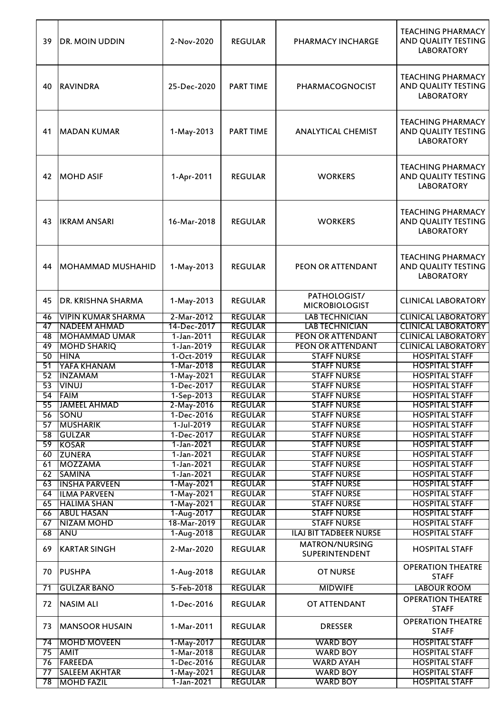| 39       | IDR. MOIN UDDIN                           | 2-Nov-2020               | <b>REGULAR</b>                   | <b>PHARMACY INCHARGE</b>                 | <b>TEACHING PHARMACY</b><br>AND QUALITY TESTING<br><b>LABORATORY</b> |
|----------|-------------------------------------------|--------------------------|----------------------------------|------------------------------------------|----------------------------------------------------------------------|
| 40       | <b>RAVINDRA</b>                           | 25-Dec-2020              | <b>PART TIME</b>                 | PHARMACOGNOCIST                          | <b>TEACHING PHARMACY</b><br>AND QUALITY TESTING<br><b>LABORATORY</b> |
| 41       | <b>MADAN KUMAR</b>                        | 1-May-2013               | <b>PART TIME</b>                 | <b>ANALYTICAL CHEMIST</b>                | <b>TEACHING PHARMACY</b><br>AND QUALITY TESTING<br><b>LABORATORY</b> |
| 42       | <b>MOHD ASIF</b>                          | 1-Apr-2011               | <b>REGULAR</b>                   | <b>WORKERS</b>                           | <b>TEACHING PHARMACY</b><br>AND QUALITY TESTING<br><b>LABORATORY</b> |
| 43       | <b>IKRAM ANSARI</b>                       | 16-Mar-2018              | <b>REGULAR</b>                   | <b>WORKERS</b>                           | <b>TEACHING PHARMACY</b><br>AND QUALITY TESTING<br><b>LABORATORY</b> |
| 44       | IMOHAMMAD MUSHAHID                        | 1-May-2013               | <b>REGULAR</b>                   | PEON OR ATTENDANT                        | <b>TEACHING PHARMACY</b><br>AND QUALITY TESTING<br><b>LABORATORY</b> |
| 45       | DR. KRISHNA SHARMA                        | 1-May-2013               | <b>REGULAR</b>                   | PATHOLOGIST/<br><b>MICROBIOLOGIST</b>    | <b>CLINICAL LABORATORY</b>                                           |
| 46       | <b>VIPIN KUMAR SHARMA</b>                 | 2-Mar-2012               | <b>REGULAR</b>                   | <b>LAB TECHNICIAN</b>                    | <b>CLINICAL LABORATORY</b>                                           |
| 47       | <b>NADEEM AHMAD</b>                       | 14-Dec-2017              | <b>REGULAR</b>                   | <b>LAB TECHNICIAN</b>                    | <b>CLINICAL LABORATORY</b>                                           |
| 48       | <b>MOHAMMAD UMAR</b>                      | 1-Jan-2011               | <b>REGULAR</b>                   | <b>PEON OR ATTENDANT</b>                 | <b>CLINICAL LABORATORY</b>                                           |
| 49       | <b>MOHD SHARIQ</b>                        | 1-Jan-2019               | <b>REGULAR</b>                   | <b>PEON OR ATTENDANT</b>                 | <b>CLINICAL LABORATORY</b>                                           |
| 50       | <b>HINA</b>                               | 1-Oct-2019               | <b>REGULAR</b><br><b>REGULAR</b> | <b>STAFF NURSE</b>                       | <b>HOSPITAL STAFF</b>                                                |
| 51<br>52 | YAFA KHANAM<br><b>INZAMAM</b>             | 1-Mar-2018<br>1-May-2021 | <b>REGULAR</b>                   | <b>STAFF NURSE</b><br><b>STAFF NURSE</b> | <b>HOSPITAL STAFF</b><br><b>HOSPITAL STAFF</b>                       |
| 53       | <b>VINUJ</b>                              | 1-Dec-2017               | <b>REGULAR</b>                   | <b>STAFF NURSE</b>                       | <b>HOSPITAL STAFF</b>                                                |
| 54       | <b>FAIM</b>                               | 1-Sep-2013               | <b>REGULAR</b>                   | <b>STAFF NURSE</b>                       | <b>HOSPITAL STAFF</b>                                                |
| 55       | JAMEEL AHMAD                              | 2-May-2016               | <b>REGULAR</b>                   | <b>STAFF NURSE</b>                       | <b>HOSPITAL STAFF</b>                                                |
| 56       | <b>SONU</b>                               | 1-Dec-2016               | <b>REGULAR</b>                   | <b>STAFF NURSE</b>                       | <b>HOSPITAL STAFF</b>                                                |
| 57       | <b>MUSHARIK</b>                           | $1$ -Jul-2019            | <b>REGULAR</b>                   | <b>STAFF NURSE</b>                       | <b>HOSPITAL STAFF</b>                                                |
| 58       | <b>GULZAR</b>                             | 1-Dec-2017               | <b>REGULAR</b>                   | <b>STAFF NURSE</b>                       | <b>HOSPITAL STAFF</b>                                                |
| 59       | <b>KOSAR</b>                              | 1-Jan-2021               | <b>REGULAR</b>                   | <b>STAFF NURSE</b>                       | <b>HOSPITAL STAFF</b>                                                |
| 60       | <b>ZUNERA</b>                             | 1-Jan-2021               | <b>REGULAR</b>                   | <b>STAFF NURSE</b>                       | <b>HOSPITAL STAFF</b>                                                |
| 61       | MOZZAMA                                   | 1-Jan-2021               | <b>REGULAR</b>                   | <b>STAFF NURSE</b>                       | <b>HOSPITAL STAFF</b>                                                |
| 62       | <b>SAMINA</b>                             | 1-Jan-2021               | <b>REGULAR</b>                   | <b>STAFF NURSE</b>                       | <b>HOSPITAL STAFF</b>                                                |
| 63<br>64 | <b>INSHA PARVEEN</b>                      | 1-May-2021<br>1-May-2021 | <b>REGULAR</b><br><b>REGULAR</b> | <b>STAFF NURSE</b><br><b>STAFF NURSE</b> | <b>HOSPITAL STAFF</b><br><b>HOSPITAL STAFF</b>                       |
| 65       | <b>ILMA PARVEEN</b><br><b>HALIMA SHAN</b> | 1-May-2021               | <b>REGULAR</b>                   | <b>STAFF NURSE</b>                       | <b>HOSPITAL STAFF</b>                                                |
| 66       | <b>ABUL HASAN</b>                         | 1-Aug-2017               | <b>REGULAR</b>                   | <b>STAFF NURSE</b>                       | <b>HOSPITAL STAFF</b>                                                |
| 67       | <b>NIZAM MOHD</b>                         | 18-Mar-2019              | <b>REGULAR</b>                   | <b>STAFF NURSE</b>                       | <b>HOSPITAL STAFF</b>                                                |
| 68       | ANU                                       | 1-Aug-2018               | <b>REGULAR</b>                   | <b>ILAJ BIT TADBEER NURSE</b>            | <b>HOSPITAL STAFF</b>                                                |
| 69       | <b>KARTAR SINGH</b>                       | 2-Mar-2020               | <b>REGULAR</b>                   | <b>MATRON/NURSING</b><br>SUPERINTENDENT  | <b>HOSPITAL STAFF</b>                                                |
| 70       | <b>PUSHPA</b>                             | 1-Aug-2018               | <b>REGULAR</b>                   | <b>OT NURSE</b>                          | <b>OPERATION THEATRE</b><br><b>STAFF</b>                             |
| 71       | <b>GULZAR BANO</b>                        | 5-Feb-2018               | <b>REGULAR</b>                   | <b>MIDWIFE</b>                           | LABOUR ROOM                                                          |
| 72       | <b>NASIM ALI</b>                          | 1-Dec-2016               | <b>REGULAR</b>                   | OT ATTENDANT                             | <b>OPERATION THEATRE</b><br><b>STAFF</b>                             |
| 73       | <b>MANSOOR HUSAIN</b>                     | 1-Mar-2011               | <b>REGULAR</b>                   | <b>DRESSER</b>                           | <b>OPERATION THEATRE</b><br><b>STAFF</b>                             |
| 74       | <b>MOHD MOVEEN</b>                        | 1-May-2017               | <b>REGULAR</b>                   | <b>WARD BOY</b>                          | <b>HOSPITAL STAFF</b>                                                |
| 75       | <b>AMIT</b>                               | 1-Mar-2018               | <b>REGULAR</b>                   | <b>WARD BOY</b>                          | <b>HOSPITAL STAFF</b>                                                |
| 76       | <b>FAREEDA</b>                            | 1-Dec-2016               | <b>REGULAR</b>                   | <b>WARD AYAH</b>                         | <b>HOSPITAL STAFF</b>                                                |
| 77       | <b>SALEEM AKHTAR</b>                      | 1-May-2021               | <b>REGULAR</b>                   | <b>WARD BOY</b>                          | <b>HOSPITAL STAFF</b>                                                |
| 78       | <b>MOHD FAZIL</b>                         | 1-Jan-2021               | <b>REGULAR</b>                   | <b>WARD BOY</b>                          | <b>HOSPITAL STAFF</b>                                                |